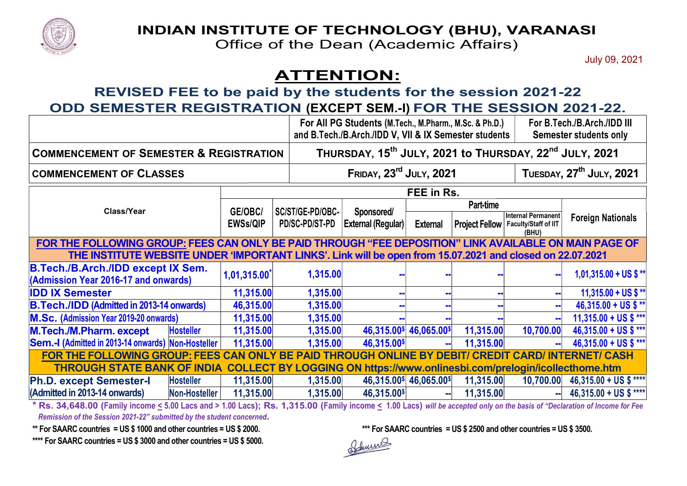

## INDIAN INSTITUTE OF TECHNOLOGY (BHU), VA

## ATTENTION:

## REVISED FEE to be paid by the students for the session 2021-22 ODD SEMESTER REGISTRATION (EXCEPT SEM.-I) FOR THE SESSION 2021-22.

|                                                                                                                                                                            |                      |                                                                                | <b>INDIAN INSTITUTE OF TECHNOLOGY (BHU), VARANASI</b> |                                                                                        |                                                     |                                                                         |                    |                                      |
|----------------------------------------------------------------------------------------------------------------------------------------------------------------------------|----------------------|--------------------------------------------------------------------------------|-------------------------------------------------------|----------------------------------------------------------------------------------------|-----------------------------------------------------|-------------------------------------------------------------------------|--------------------|--------------------------------------|
|                                                                                                                                                                            |                      |                                                                                | Office of the Dean (Academic Affairs)                 |                                                                                        |                                                     |                                                                         |                    |                                      |
|                                                                                                                                                                            |                      |                                                                                |                                                       |                                                                                        |                                                     |                                                                         |                    | July 09, 2021                        |
|                                                                                                                                                                            |                      |                                                                                | <b>ATTENTION:</b>                                     |                                                                                        |                                                     |                                                                         |                    |                                      |
| REVISED FEE to be paid by the students for the session 2021-22                                                                                                             |                      |                                                                                |                                                       |                                                                                        |                                                     |                                                                         |                    |                                      |
| ODD SEMESTER REGISTRATION (EXCEPT SEM.-I) FOR THE SESSION 2021-22.                                                                                                         |                      |                                                                                |                                                       |                                                                                        |                                                     |                                                                         |                    |                                      |
|                                                                                                                                                                            |                      |                                                                                |                                                       | For All PG Students (M.Tech., M.Pharm., M.Sc. & Ph.D.)                                 |                                                     |                                                                         |                    | For B.Tech./B.Arch./IDD III          |
|                                                                                                                                                                            |                      |                                                                                |                                                       | and B.Tech./B.Arch./IDD V, VII & IX Semester students<br><b>Semester students only</b> |                                                     |                                                                         |                    |                                      |
| <b>COMMENCEMENT OF SEMESTER &amp; REGISTRATION</b>                                                                                                                         |                      | THURSDAY, 15 <sup>th</sup> JULY, 2021 to THURSDAY, 22 <sup>nd</sup> JULY, 2021 |                                                       |                                                                                        |                                                     |                                                                         |                    |                                      |
| <b>COMMENCEMENT OF CLASSES</b>                                                                                                                                             |                      |                                                                                |                                                       | FRIDAY, 23 <sup>rd</sup> JULY, 2021                                                    |                                                     |                                                                         |                    | TUESDAY, 27 <sup>th</sup> JULY, 2021 |
|                                                                                                                                                                            |                      | FEE in Rs.                                                                     |                                                       |                                                                                        |                                                     |                                                                         |                    |                                      |
| Class/Year                                                                                                                                                                 |                      |                                                                                |                                                       | <b>Sponsored/</b><br><b>External (Regular)</b>                                         | Part-time                                           |                                                                         |                    |                                      |
|                                                                                                                                                                            |                      | GE/OBC/<br><b>EWSs/QIP</b>                                                     | SC/ST/GE-PD/OBC-<br>PD/SC-PD/ST-PD                    |                                                                                        | <b>External</b>                                     | Project Fellow   Faculty/Staff of IIT                                   | Internal Permanent | <b>Foreign Nationals</b>             |
| FOR THE FOLLOWING GROUP: FEES CAN ONLY BE PAID THROUGH "FEE DEPOSITION" LINK AVAILABLE ON MAIN PAGE OF                                                                     |                      |                                                                                |                                                       |                                                                                        |                                                     |                                                                         | (BHU)              |                                      |
| THE INSTITUTE WEBSITE UNDER 'IMPORTANT LINKS'. Link will be open from 15.07.2021 and closed on 22.07.2021                                                                  |                      |                                                                                |                                                       |                                                                                        |                                                     |                                                                         |                    |                                      |
| <b>B.Tech./B.Arch./IDD except IX Sem.</b><br>(Admission Year 2016-17 and onwards)                                                                                          |                      | 1,01,315.00                                                                    | 1,315.00                                              |                                                                                        |                                                     |                                                                         |                    | $1,01,315.00 + US$ \$ **             |
|                                                                                                                                                                            |                      |                                                                                |                                                       |                                                                                        |                                                     |                                                                         |                    |                                      |
| <b>IDD IX Semester</b>                                                                                                                                                     |                      | 11,315.00                                                                      | 1,315.00                                              |                                                                                        |                                                     |                                                                         |                    | 11,315.00 + US \$ **                 |
| <b>B.Tech./IDD (Admitted in 2013-14 onwards)</b>                                                                                                                           |                      | 46,315.00                                                                      | 1,315.00                                              |                                                                                        |                                                     |                                                                         |                    | $46,315.00 + US$ \$**                |
| <b>M.Sc. (Admission Year 2019-20 onwards)</b>                                                                                                                              |                      | 11,315.00                                                                      | 1,315.00                                              |                                                                                        |                                                     |                                                                         |                    | $11,315.00 + US$ \$ ***              |
| M.Tech./M.Pharm. except                                                                                                                                                    | <b>Hosteller</b>     | 11,315.00                                                                      | 1,315.00                                              |                                                                                        | 46,315.00\$ 46,065.00\$                             | 11,315.00                                                               | 10,700.00          | $46,315.00 + US$ \$***               |
| Sem.-I (Admitted in 2013-14 onwards) Non-Hosteller                                                                                                                         |                      | 11,315.00                                                                      | 1,315.00                                              | 46,315.00\$                                                                            |                                                     | 11,315.00                                                               |                    | 46,315.00 + US \$ ***                |
| FOR THE FOLLOWING GROUP: FEES CAN ONLY BE PAID THROUGH ONLINE BY DEBIT/ CREDIT CARD/ INTERNET/ CASH                                                                        |                      |                                                                                |                                                       |                                                                                        |                                                     |                                                                         |                    |                                      |
| THROUGH STATE BANK OF INDIA COLLECT BY LOGGING ON https://www.onlinesbi.com/prelogin/icollecthome.htm                                                                      |                      |                                                                                |                                                       |                                                                                        |                                                     |                                                                         |                    |                                      |
| <b>Ph.D. except Semester-I</b>                                                                                                                                             | <b>Hosteller</b>     | 11,315.00                                                                      | 1,315.00                                              |                                                                                        | $46,315.00$ <sup>\$</sup> $46,065.00$ <sup>\$</sup> | 11,315.00                                                               |                    | $10,700.00$ 46,315.00 + US \$ ****   |
| (Admitted in 2013-14 onwards)                                                                                                                                              | <b>Non-Hosteller</b> | 11,315.00                                                                      | 1,315.00                                              | 46,315.00\$                                                                            | aal                                                 | 11,315.00                                                               |                    | 46,315.00 + US \$ ****               |
| * Rs. 34,648.00 (Family income < 5.00 Lacs and > 1.00 Lacs); Rs. 1,315.00 (Family income < 1.00 Lacs) will be accepted only on the basis of "Declaration of Income for Fee |                      |                                                                                |                                                       |                                                                                        |                                                     |                                                                         |                    |                                      |
| Remission of the Session 2021-22" submitted by the student concerned.                                                                                                      |                      |                                                                                |                                                       |                                                                                        |                                                     |                                                                         |                    |                                      |
| ** For SAARC countries = US \$ 1000 and other countries = US \$ 2000.                                                                                                      |                      |                                                                                |                                                       |                                                                                        |                                                     | *** For SAARC countries = US $$2500$ and other countries = US $$3500$ . |                    |                                      |
| **** For SAARC countries = US \$ 3000 and other countries = US \$ 5000.                                                                                                    |                      |                                                                                |                                                       | $0.1 \text{ m/s}$                                                                      |                                                     |                                                                         |                    |                                      |

\*\*\*\* For SAARC countries = US \$ 3000 and other countries = US \$ 5000.